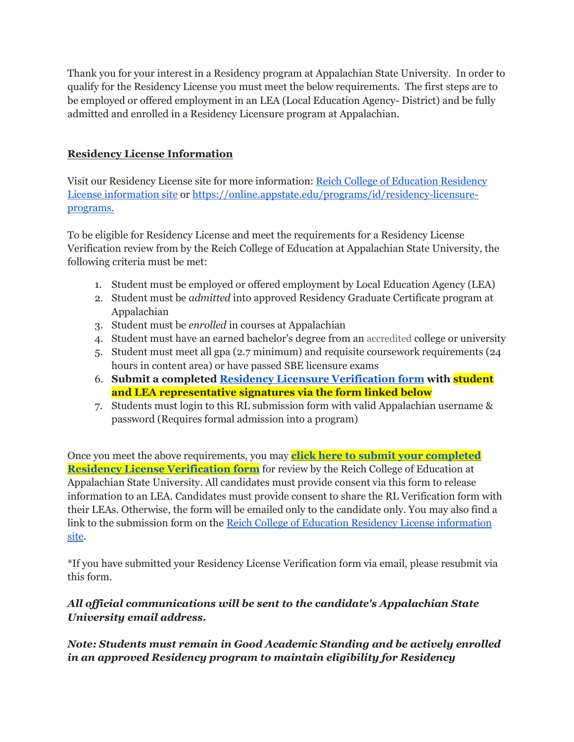Thank you for your interest in a Residency program at Appalachian State University. In order to qualify for the Residency License you must meet the below requirements. The first steps are to be employed or offered employment in an LEA (Local Education Agency- District) and be fully admitted and enrolled in a Residency Licensure program at Appalachian.

## **Residency License Information**

Visit our Residency License site for more information: [Reich College of Education Residency](https://rcoe.appstate.edu/students/licensure-certification/residency-licensure-information)  [License information site](https://rcoe.appstate.edu/students/licensure-certification/residency-licensure-information) or [https://online.appstate.edu/programs/id/residency-licensure](https://online.appstate.edu/programs/id/residency-licensure-programs.)[programs.](https://online.appstate.edu/programs/id/residency-licensure-programs.)

To be eligible for Residency License and meet the requirements for a Residency License Verification review from by the Reich College of Education at Appalachian State University, the following criteria must be met:

- 1. Student must be employed or offered employment by Local Education Agency (LEA)
- 2. Student must be *admitted* into approved Residency Graduate Certificate program at Appalachian
- 3. Student must be *enrolled* in courses at Appalachian
- 4. Student must have an earned bachelor's degree from an accredited college or university
- 5. Student must meet all gpa (2.7 minimum) and requisite coursework requirements (24 hours in content area) or have passed SBE licensure exams
- 6. **Submit a completed [Residency Licensure Verification form](https://files.nc.gov/dpi/documents/licensure/form_rl.pdf) with student and LEA representative signatures via the form linked below**
- 7. Students must login to this RL submission form with valid Appalachian username & password (Requires formal admission into a program)

Once you meet the above requirements, you may **[click here to submit your completed](https://forms.gle/T97VVbNJbiBxViSq8)  [Residency License Verification form](https://forms.gle/T97VVbNJbiBxViSq8)** for review by the Reich College of Education at Appalachian State University. All candidates must provide consent via this form to release information to an LEA. Candidates must provide consent to share the RL Verification form with their LEAs. Otherwise, the form will be emailed only to the candidate only. You may also find a link to the submission form on the [Reich College of Education Residency License information](https://rcoe.appstate.edu/students/licensure-certification/residency-licensure-information)  [site.](https://rcoe.appstate.edu/students/licensure-certification/residency-licensure-information)

\*If you have submitted your Residency License Verification form via email, please resubmit via this form.

## *All official communications will be sent to the candidate's Appalachian State University email address.*

## *Note: Students must remain in Good Academic Standing and be actively enrolled in an approved Residency program to maintain eligibility for Residency*